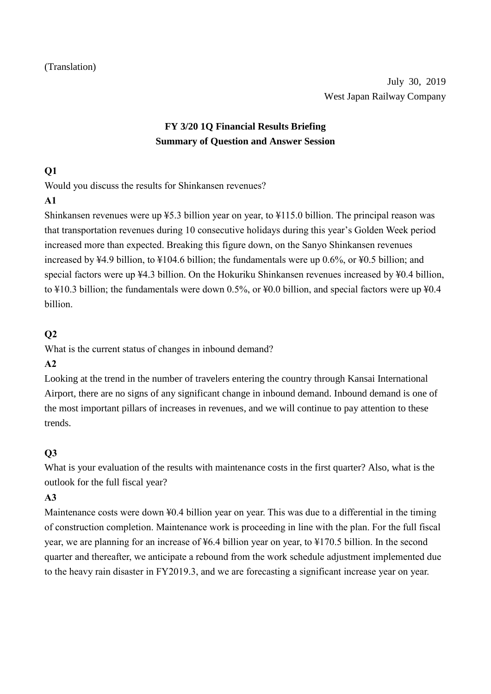# **FY 3/20 1Q Financial Results Briefing Summary of Question and Answer Session**

#### **Q1**

Would you discuss the results for Shinkansen revenues?

#### **A1**

Shinkansen revenues were up ¥5.3 billion year on year, to ¥115.0 billion. The principal reason was that transportation revenues during 10 consecutive holidays during this year's Golden Week period increased more than expected. Breaking this figure down, on the Sanyo Shinkansen revenues increased by ¥4.9 billion, to ¥104.6 billion; the fundamentals were up 0.6%, or ¥0.5 billion; and special factors were up ¥4.3 billion. On the Hokuriku Shinkansen revenues increased by ¥0.4 billion, to ¥10.3 billion; the fundamentals were down 0.5%, or ¥0.0 billion, and special factors were up ¥0.4 billion.

### **Q2**

What is the current status of changes in inbound demand?

### **A2**

Looking at the trend in the number of travelers entering the country through Kansai International Airport, there are no signs of any significant change in inbound demand. Inbound demand is one of the most important pillars of increases in revenues, and we will continue to pay attention to these trends.

# **Q3**

What is your evaluation of the results with maintenance costs in the first quarter? Also, what is the outlook for the full fiscal year?

### **A3**

Maintenance costs were down ¥0.4 billion year on year. This was due to a differential in the timing of construction completion. Maintenance work is proceeding in line with the plan. For the full fiscal year, we are planning for an increase of ¥6.4 billion year on year, to ¥170.5 billion. In the second quarter and thereafter, we anticipate a rebound from the work schedule adjustment implemented due to the heavy rain disaster in FY2019.3, and we are forecasting a significant increase year on year.